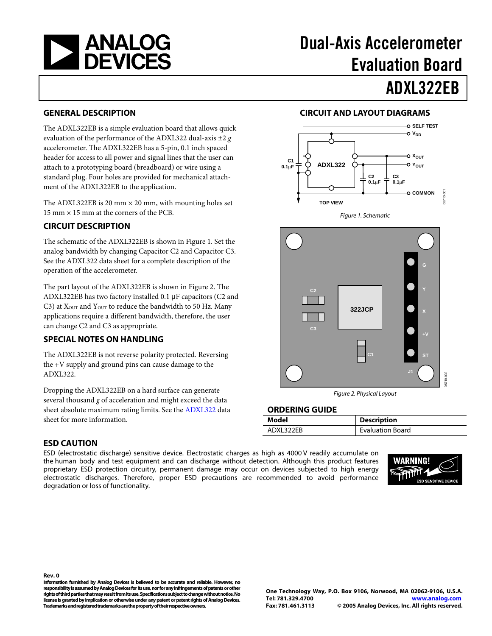

# Dual-Axis Accelerometer Evaluation Board

ADXL322EB

### **GENERAL DESCRIPTION**

The ADXL322EB is a simple evaluation board that allows quick evaluation of the performance of the ADXL322 dual-axis ±2 *g* accelerometer. The ADXL322EB has a 5-pin, 0.1 inch spaced header for access to all power and signal lines that the user can attach to a prototyping board (breadboard) or wire using a standard plug. Four holes are provided for mechanical attachment of the ADXL322EB to the application.

The ADXL322EB is 20 mm  $\times$  20 mm, with mounting holes set 15 mm × 15 mm at the corners of the PCB.

### <span id="page-0-0"></span>**CIRCUIT DESCRIPTION**

The schematic of the ADXL322EB is shown in [Figure 1](#page-0-0). Set the analog bandwidth by changing Capacitor C2 and Capacitor C3. See the [ADXL322](http://www.analog.com/en/prod/0%2C2877%2CADXL321%2C00.html) data sheet for a complete description of the operation of the accelerometer.

The part layout of the ADXL322EB is shown in [Figure 2.](#page-0-1) The ADXL322EB has two factory installed 0.1 μF capacitors (C2 and C3) at  $X<sub>OUT</sub>$  and  $Y<sub>OUT</sub>$  to reduce the bandwidth to 50 Hz. Many applications require a different bandwidth, therefore, the user can change C2 and C3 as appropriate.

#### **SPECIAL NOTES ON HANDLING**

The ADXL322EB is not reverse polarity protected. Reversing the +V supply and ground pins can cause damage to the ADXL322.

<span id="page-0-1"></span>Dropping the ADXL322EB on a hard surface can generate several thousand *g* of acceleration and might exceed the data sheet absolute maximum rating limits. See the [ADXL322](http://www.analog.com/en/prod/0%2C2877%2CADXL322%2C00.html) data sheet for more information.

#### **ESD CAUTION**

ESD (electrostatic discharge) sensitive device. Electrostatic charges as high as 4000 V readily accumulate on the human body and test equipment and can discharge without detection. Although this product features proprietary ESD protection circuitry, permanent damage may occur on devices subjected to high energy electrostatic discharges. Therefore, proper ESD precautions are recommended to avoid performance degradation or loss of functionality.



## **CIRCUIT AND LAYOUT DIAGRAMS**





Figure 2. Physical Layout

#### **ORDERING GUIDE**

| Model      | <b>Description</b>      |
|------------|-------------------------|
| ADXI 322FB | <b>Evaluation Board</b> |

**Rev. 0 Information furnished by Analog Devices is believed to be accurate and reliable. However, no responsibility is assumed by Analog Devices for its use, nor for any infringements of patents or other rights of third parties that may result from its use. Specifications subject to change without notice. No license is granted by implication or otherwise under any patent or patent rights of Analog Devices. Trademarks and registered trademarks are the property of their respective owners.**